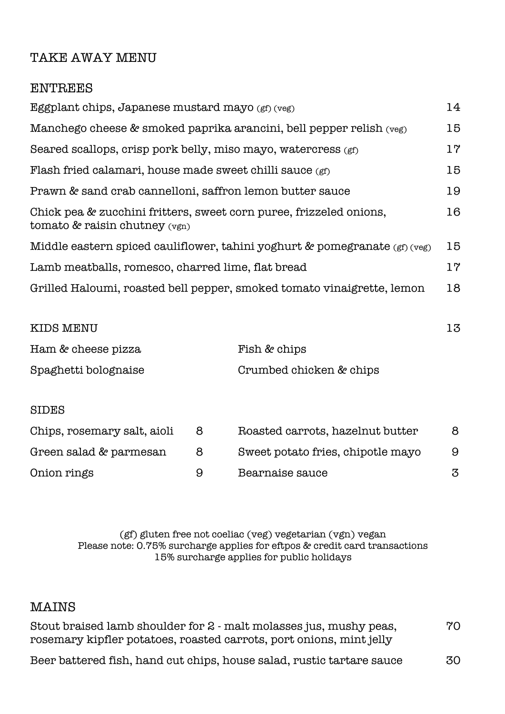## TAKE AWAY MENU

## ENTREES Eggplant chips, Japanese mustard mayo  $(gf)(veg)$  14 Manchego cheese & smoked paprika arancini, bell pepper relish (veg) 15 Seared scallops, crisp pork belly, miso mayo, watercress (gf) 17 Flash fried calamari, house made sweet chilli sauce (gf) 15 Prawn & sand crab cannelloni, saffron lemon butter sauce 19 Chick pea & zucchini fritters, sweet corn puree, frizzeled onions, 16 tomato & raisin chutney (vgn) Middle eastern spiced cauliflower, tahini yoghurt & pomegranate  $(gf)(veg)$  15 Lamb meatballs, romesco, charred lime, flat bread 17 Grilled Haloumi, roasted bell pepper, smoked tomato vinaigrette, lemon 18

| <b>KIDS MENU</b>            |   |                                   | 13 |
|-----------------------------|---|-----------------------------------|----|
| Ham & cheese pizza          |   | Fish & chips                      |    |
| Spaghetti bolognaise        |   | Crumbed chicken & chips           |    |
|                             |   |                                   |    |
| <b>SIDES</b>                |   |                                   |    |
| Chips, rosemary salt, aioli | 8 | Roasted carrots, hazelnut butter  | 8  |
| Green salad & parmesan      | 8 | Sweet potato fries, chipotle mayo | 9  |
| Onion rings                 | 9 | Bearnaise sauce                   | 3  |

## (gf) gluten free not coeliac (veg) vegetarian (vgn) vegan Please note: 0.75% surcharge applies for eftpos & credit card transactions 15% surcharge applies for public holidays

## MAINS

| Stout braised lamb shoulder for 2 - malt molasses jus, mushy peas,  |                       |  |
|---------------------------------------------------------------------|-----------------------|--|
| rosemary kipfler potatoes, roasted carrots, port onions, mint jelly |                       |  |
| Desa kattangal Cak kang aut shina kausa salad mustis tantang sauga  | $\overline{P}$ $\cap$ |  |

Beer battered fish, hand cut chips, house salad, rustic tartare sauce 30